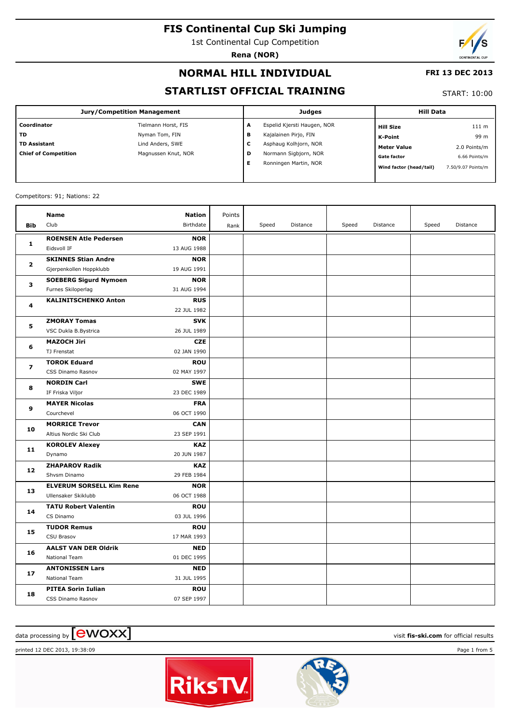1st Continental Cup Competition

**Rena (NOR)**

# **NORMAL HILL INDIVIDUAL**

## **FRI 13 DEC 2013**

# **STARTLIST OFFICIAL TRAINING**

START: 10:00

| <b>Jury/Competition Management</b> |                     |   | <b>Judges</b>               | <b>Hill Data</b>        |                    |  |
|------------------------------------|---------------------|---|-----------------------------|-------------------------|--------------------|--|
| Coordinator                        | Tielmann Horst, FIS | A | Espelid Kjersti Haugen, NOR | <b>Hill Size</b>        | 111 m              |  |
| ТD                                 | Nyman Tom, FIN      | в | Kajalainen Pirjo, FIN       | K-Point                 | 99 m               |  |
| <b>TD Assistant</b>                | Lind Anders, SWE    | с | Asphaug Kolhjorn, NOR       | <b>Meter Value</b>      | 2.0 Points/m       |  |
| <b>Chief of Competition</b>        | Magnussen Knut, NOR | D | Normann Sigbjorn, NOR       | <b>Gate factor</b>      | 6.66 Points/m      |  |
|                                    |                     | Е | Ronningen Martin, NOR       | Wind factor (head/tail) | 7.50/9.07 Points/m |  |

#### Competitors: 91; Nations: 22

|                | Name                            | <b>Nation</b> | Points |       |          |       |          |       |          |
|----------------|---------------------------------|---------------|--------|-------|----------|-------|----------|-------|----------|
| Bib            | Club                            | Birthdate     | Rank   | Speed | Distance | Speed | Distance | Speed | Distance |
|                | <b>ROENSEN Atle Pedersen</b>    | <b>NOR</b>    |        |       |          |       |          |       |          |
| $\mathbf{1}$   | Eidsvoll IF                     | 13 AUG 1988   |        |       |          |       |          |       |          |
|                | <b>SKINNES Stian Andre</b>      | <b>NOR</b>    |        |       |          |       |          |       |          |
| 2              | Gjerpenkollen Hoppklubb         | 19 AUG 1991   |        |       |          |       |          |       |          |
| 3              | <b>SOEBERG Sigurd Nymoen</b>    | <b>NOR</b>    |        |       |          |       |          |       |          |
|                | Furnes Skiloperlag              | 31 AUG 1994   |        |       |          |       |          |       |          |
| 4              | <b>KALINITSCHENKO Anton</b>     | <b>RUS</b>    |        |       |          |       |          |       |          |
|                |                                 | 22 JUL 1982   |        |       |          |       |          |       |          |
| 5              | <b>ZMORAY Tomas</b>             | <b>SVK</b>    |        |       |          |       |          |       |          |
|                | VSC Dukla B.Bystrica            | 26 JUL 1989   |        |       |          |       |          |       |          |
| 6              | <b>MAZOCH Jiri</b>              | <b>CZE</b>    |        |       |          |       |          |       |          |
|                | TJ Frenstat                     | 02 JAN 1990   |        |       |          |       |          |       |          |
| $\overline{ }$ | <b>TOROK Eduard</b>             | <b>ROU</b>    |        |       |          |       |          |       |          |
|                | CSS Dinamo Rasnov               | 02 MAY 1997   |        |       |          |       |          |       |          |
| 8              | <b>NORDIN Carl</b>              | <b>SWE</b>    |        |       |          |       |          |       |          |
|                | IF Friska Viljor                | 23 DEC 1989   |        |       |          |       |          |       |          |
| 9              | <b>MAYER Nicolas</b>            | <b>FRA</b>    |        |       |          |       |          |       |          |
|                | Courchevel                      | 06 OCT 1990   |        |       |          |       |          |       |          |
| 10             | <b>MORRICE Trevor</b>           | <b>CAN</b>    |        |       |          |       |          |       |          |
|                | Altius Nordic Ski Club          | 23 SEP 1991   |        |       |          |       |          |       |          |
| 11             | <b>KOROLEV Alexey</b>           | <b>KAZ</b>    |        |       |          |       |          |       |          |
|                | Dynamo                          | 20 JUN 1987   |        |       |          |       |          |       |          |
| 12             | <b>ZHAPAROV Radik</b>           | <b>KAZ</b>    |        |       |          |       |          |       |          |
|                | Shvsm Dinamo                    | 29 FEB 1984   |        |       |          |       |          |       |          |
| 13             | <b>ELVERUM SORSELL Kim Rene</b> | <b>NOR</b>    |        |       |          |       |          |       |          |
|                | Ullensaker Skiklubb             | 06 OCT 1988   |        |       |          |       |          |       |          |
| 14             | <b>TATU Robert Valentin</b>     | <b>ROU</b>    |        |       |          |       |          |       |          |
|                | CS Dinamo                       | 03 JUL 1996   |        |       |          |       |          |       |          |
| 15             | <b>TUDOR Remus</b>              | <b>ROU</b>    |        |       |          |       |          |       |          |
|                | CSU Brasov                      | 17 MAR 1993   |        |       |          |       |          |       |          |
| 16             | <b>AALST VAN DER Oldrik</b>     | <b>NED</b>    |        |       |          |       |          |       |          |
|                | National Team                   | 01 DEC 1995   |        |       |          |       |          |       |          |
| 17             | <b>ANTONISSEN Lars</b>          | <b>NED</b>    |        |       |          |       |          |       |          |
|                | <b>National Team</b>            | 31 JUL 1995   |        |       |          |       |          |       |          |
| 18             | <b>PITEA Sorin Iulian</b>       | <b>ROU</b>    |        |       |          |       |          |       |          |
|                | CSS Dinamo Rasnov               | 07 SEP 1997   |        |       |          |       |          |       |          |

# data processing by **CWOXX** and  $\overline{C}$  and  $\overline{C}$  and  $\overline{C}$  and  $\overline{C}$  and  $\overline{C}$  and  $\overline{C}$  and  $\overline{C}$  and  $\overline{C}$  and  $\overline{C}$  and  $\overline{C}$  and  $\overline{C}$  and  $\overline{C}$  and  $\overline{C}$  and  $\overline{C}$  and  $\overline{C}$

printed 12 DEC 2013, 19:38:09 Page 1 from 5



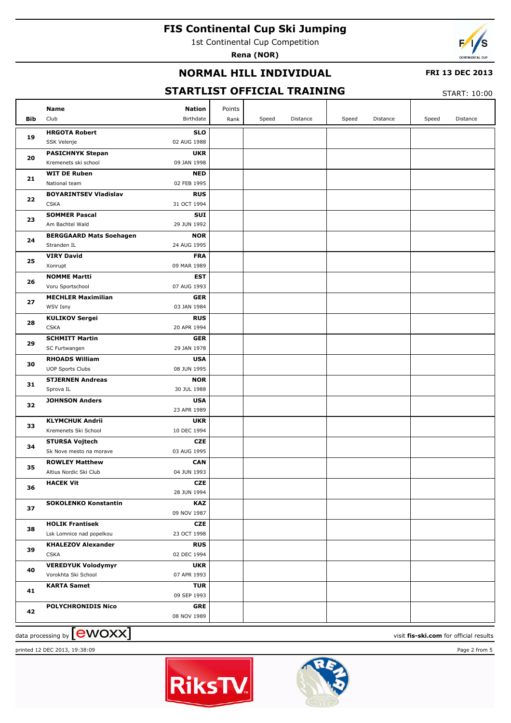1st Continental Cup Competition

**Rena (NOR)**



## **NORMAL HILL INDIVIDUAL**

#### **FRI 13 DEC 2013**

# **STARTLIST OFFICIAL TRAINING**

START: 10:00

|     | Name                                             | <b>Nation</b>             | Points |       |          |       |          |       |                                        |
|-----|--------------------------------------------------|---------------------------|--------|-------|----------|-------|----------|-------|----------------------------------------|
| Bib | Club                                             | Birthdate                 | Rank   | Speed | Distance | Speed | Distance | Speed | Distance                               |
| 19  | <b>HRGOTA Robert</b><br>SSK Velenje              | <b>SLO</b><br>02 AUG 1988 |        |       |          |       |          |       |                                        |
|     | <b>PASICHNYK Stepan</b>                          | <b>UKR</b>                |        |       |          |       |          |       |                                        |
| 20  | Kremenets ski school                             | 09 JAN 1998               |        |       |          |       |          |       |                                        |
|     | <b>WIT DE Ruben</b>                              | <b>NED</b>                |        |       |          |       |          |       |                                        |
| 21  | National team                                    | 02 FEB 1995               |        |       |          |       |          |       |                                        |
| 22  | <b>BOYARINTSEV Vladislav</b>                     | <b>RUS</b>                |        |       |          |       |          |       |                                        |
|     | <b>CSKA</b>                                      | 31 OCT 1994               |        |       |          |       |          |       |                                        |
| 23  | <b>SOMMER Pascal</b>                             | SUI                       |        |       |          |       |          |       |                                        |
|     | Am Bachtel Wald                                  | 29 JUN 1992               |        |       |          |       |          |       |                                        |
| 24  | <b>BERGGAARD Mats Soehagen</b>                   | <b>NOR</b>                |        |       |          |       |          |       |                                        |
|     | Stranden IL                                      | 24 AUG 1995               |        |       |          |       |          |       |                                        |
| 25  | <b>VIRY David</b>                                | <b>FRA</b>                |        |       |          |       |          |       |                                        |
|     | Xonrupt                                          | 09 MAR 1989               |        |       |          |       |          |       |                                        |
| 26  | <b>NOMME Martti</b>                              | <b>EST</b>                |        |       |          |       |          |       |                                        |
|     | Voru Sportschool                                 | 07 AUG 1993               |        |       |          |       |          |       |                                        |
| 27  | <b>MECHLER Maximilian</b>                        | <b>GER</b>                |        |       |          |       |          |       |                                        |
|     | WSV Isny                                         | 03 JAN 1984               |        |       |          |       |          |       |                                        |
| 28  | <b>KULIKOV Sergei</b><br><b>CSKA</b>             | <b>RUS</b><br>20 APR 1994 |        |       |          |       |          |       |                                        |
|     | <b>SCHMITT Martin</b>                            | <b>GER</b>                |        |       |          |       |          |       |                                        |
| 29  | SC Furtwangen                                    | 29 JAN 1978               |        |       |          |       |          |       |                                        |
|     | <b>RHOADS William</b>                            | <b>USA</b>                |        |       |          |       |          |       |                                        |
| 30  | <b>UOP Sports Clubs</b>                          | 08 JUN 1995               |        |       |          |       |          |       |                                        |
|     | <b>STJERNEN Andreas</b>                          | <b>NOR</b>                |        |       |          |       |          |       |                                        |
| 31  | Sprova IL                                        | 30 JUL 1988               |        |       |          |       |          |       |                                        |
|     | <b>JOHNSON Anders</b>                            | <b>USA</b>                |        |       |          |       |          |       |                                        |
| 32  |                                                  | 23 APR 1989               |        |       |          |       |          |       |                                        |
|     | <b>KLYMCHUK Andrii</b>                           | <b>UKR</b>                |        |       |          |       |          |       |                                        |
| 33  | Kremenets Ski School                             | 10 DEC 1994               |        |       |          |       |          |       |                                        |
| 34  | <b>STURSA Vojtech</b>                            | CZE                       |        |       |          |       |          |       |                                        |
|     | Sk Nove mesto na morave                          | 03 AUG 1995               |        |       |          |       |          |       |                                        |
| 35  | <b>ROWLEY Matthew</b>                            | <b>CAN</b>                |        |       |          |       |          |       |                                        |
|     | Altius Nordic Ski Club                           | 04 JUN 1993               |        |       |          |       |          |       |                                        |
| 36  | <b>HACEK Vit</b>                                 | <b>CZE</b>                |        |       |          |       |          |       |                                        |
|     |                                                  | 28 JUN 1994               |        |       |          |       |          |       |                                        |
| 37  | <b>SOKOLENKO Konstantin</b>                      | <b>KAZ</b>                |        |       |          |       |          |       |                                        |
|     |                                                  | 09 NOV 1987               |        |       |          |       |          |       |                                        |
| 38  | <b>HOLIK Frantisek</b>                           | <b>CZE</b>                |        |       |          |       |          |       |                                        |
|     | Lsk Lomnice nad popelkou                         | 23 OCT 1998               |        |       |          |       |          |       |                                        |
| 39  | <b>KHALEZOV Alexander</b>                        | <b>RUS</b>                |        |       |          |       |          |       |                                        |
|     | <b>CSKA</b>                                      | 02 DEC 1994               |        |       |          |       |          |       |                                        |
| 40  | <b>VEREDYUK Volodymyr</b><br>Vorokhta Ski School | <b>UKR</b><br>07 APR 1993 |        |       |          |       |          |       |                                        |
|     | <b>KARTA Samet</b>                               | <b>TUR</b>                |        |       |          |       |          |       |                                        |
| 41  |                                                  | 09 SEP 1993               |        |       |          |       |          |       |                                        |
|     | <b>POLYCHRONIDIS Nico</b>                        | <b>GRE</b>                |        |       |          |       |          |       |                                        |
| 42  |                                                  | 08 NOV 1989               |        |       |          |       |          |       |                                        |
|     | data processing by <b>[CWOXX]</b>                |                           |        |       |          |       |          |       | visit fis-ski.com for official results |

printed 12 DEC 2013, 19:38:09 Page 2 from 5



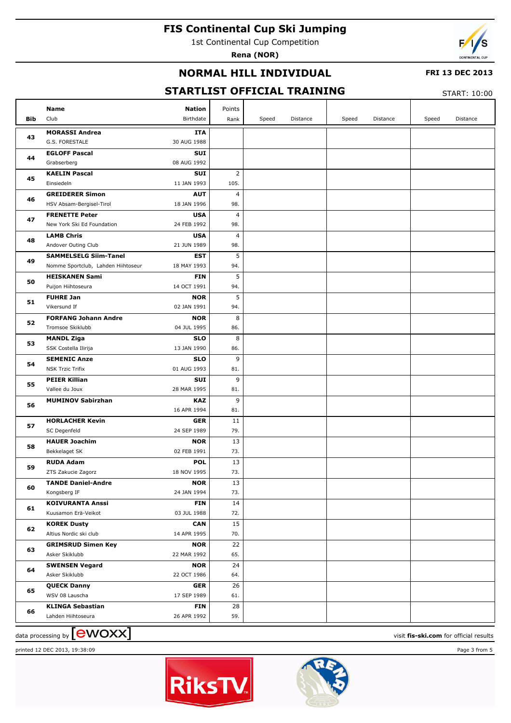1st Continental Cup Competition

**Rena (NOR)**



## **NORMAL HILL INDIVIDUAL**

### **FRI 13 DEC 2013**

# **STARTLIST OFFICIAL TRAINING**

START: 10:00

| Bib | Name<br>Nation<br>Club<br>Birthdate               | Points<br>Rank | Speed | Distance | Speed | Distance | Speed | Distance |
|-----|---------------------------------------------------|----------------|-------|----------|-------|----------|-------|----------|
|     | <b>MORASSI Andrea</b><br>ITA                      |                |       |          |       |          |       |          |
| 43  | G.S. FORESTALE<br>30 AUG 1988                     |                |       |          |       |          |       |          |
| 44  | <b>EGLOFF Pascal</b><br>SUI                       |                |       |          |       |          |       |          |
|     | 08 AUG 1992<br>Grabserberg                        |                |       |          |       |          |       |          |
| 45  | <b>KAELIN Pascal</b><br>SUI                       | $\overline{2}$ |       |          |       |          |       |          |
|     | Einsiedeln<br>11 JAN 1993                         | 105.           |       |          |       |          |       |          |
| 46  | <b>GREIDERER Simon</b><br><b>AUT</b>              | $\overline{4}$ |       |          |       |          |       |          |
|     | HSV Absam-Bergisel-Tirol<br>18 JAN 1996           | 98.            |       |          |       |          |       |          |
| 47  | <b>FRENETTE Peter</b><br><b>USA</b>               | $\overline{4}$ |       |          |       |          |       |          |
|     | New York Ski Ed Foundation<br>24 FEB 1992         | 98.            |       |          |       |          |       |          |
| 48  | <b>LAMB Chris</b><br><b>USA</b>                   | $\overline{4}$ |       |          |       |          |       |          |
|     | Andover Outing Club<br>21 JUN 1989                | 98.            |       |          |       |          |       |          |
| 49  | <b>SAMMELSELG Siim-Tanel</b><br>EST               | 5              |       |          |       |          |       |          |
|     | Nomme Sportclub, Lahden Hiihtoseur<br>18 MAY 1993 | 94.            |       |          |       |          |       |          |
| 50  | <b>HEISKANEN Sami</b><br><b>FIN</b>               | 5              |       |          |       |          |       |          |
|     | 14 OCT 1991<br>Puijon Hiihtoseura                 | 94.            |       |          |       |          |       |          |
| 51  | <b>FUHRE Jan</b><br><b>NOR</b>                    | 5              |       |          |       |          |       |          |
|     | Vikersund If<br>02 JAN 1991                       | 94.            |       |          |       |          |       |          |
| 52  | <b>FORFANG Johann Andre</b><br><b>NOR</b>         | 8              |       |          |       |          |       |          |
|     | Tromsoe Skiklubb<br>04 JUL 1995                   | 86.            |       |          |       |          |       |          |
| 53  | <b>MANDL Ziga</b><br><b>SLO</b>                   | 8              |       |          |       |          |       |          |
|     | SSK Costella Ilirija<br>13 JAN 1990               | 86.            |       |          |       |          |       |          |
| 54  | <b>SLO</b><br><b>SEMENIC Anze</b>                 | 9              |       |          |       |          |       |          |
|     | 01 AUG 1993<br><b>NSK Trzic Trifix</b>            | 81.            |       |          |       |          |       |          |
| 55  | <b>PEIER Killian</b><br><b>SUI</b><br>28 MAR 1995 | 9              |       |          |       |          |       |          |
|     | Vallee du Joux<br><b>MUMINOV Sabirzhan</b><br>KAZ | 81.<br>9       |       |          |       |          |       |          |
| 56  | 16 APR 1994                                       | 81.            |       |          |       |          |       |          |
|     | <b>HORLACHER Kevin</b><br><b>GER</b>              | 11             |       |          |       |          |       |          |
| 57  | SC Degenfeld<br>24 SEP 1989                       | 79.            |       |          |       |          |       |          |
|     | <b>HAUER Joachim</b><br><b>NOR</b>                | 13             |       |          |       |          |       |          |
| 58  | Bekkelaget SK<br>02 FEB 1991                      | 73.            |       |          |       |          |       |          |
|     | <b>RUDA Adam</b><br><b>POL</b>                    | 13             |       |          |       |          |       |          |
| 59  | ZTS Zakucie Zagorz<br>18 NOV 1995                 | 73.            |       |          |       |          |       |          |
|     | <b>TANDE Daniel-Andre</b><br><b>NOR</b>           | 13             |       |          |       |          |       |          |
| 60  | Kongsberg IF<br>24 JAN 1994                       | 73.            |       |          |       |          |       |          |
|     | <b>KOIVURANTA Anssi</b><br><b>FIN</b>             | 14             |       |          |       |          |       |          |
| 61  | 03 JUL 1988<br>Kuusamon Erä-Veikot                | 72.            |       |          |       |          |       |          |
|     | <b>KOREK Dusty</b><br><b>CAN</b>                  | 15             |       |          |       |          |       |          |
| 62  | Altius Nordic ski club<br>14 APR 1995             | 70.            |       |          |       |          |       |          |
| 63  | <b>GRIMSRUD Simen Key</b><br><b>NOR</b>           | 22             |       |          |       |          |       |          |
|     | Asker Skiklubb<br>22 MAR 1992                     | 65.            |       |          |       |          |       |          |
| 64  | <b>SWENSEN Vegard</b><br><b>NOR</b>               | 24             |       |          |       |          |       |          |
|     | 22 OCT 1986<br>Asker Skiklubb                     | 64.            |       |          |       |          |       |          |
| 65  | <b>QUECK Danny</b><br><b>GER</b>                  | 26             |       |          |       |          |       |          |
|     | WSV 08 Lauscha<br>17 SEP 1989                     | 61.            |       |          |       |          |       |          |
| 66  | <b>KLINGA Sebastian</b><br><b>FIN</b>             | 28             |       |          |       |          |       |          |
|     | 26 APR 1992<br>Lahden Hiihtoseura                 | 59.            |       |          |       |          |       |          |

data processing by **CWOXX** and  $\overline{C}$  and  $\overline{C}$  and  $\overline{C}$  and  $\overline{C}$  and  $\overline{C}$  and  $\overline{C}$  and  $\overline{C}$  and  $\overline{C}$  and  $\overline{C}$  and  $\overline{C}$  and  $\overline{C}$  and  $\overline{C}$  and  $\overline{C}$  and  $\overline{C}$  and  $\overline{C}$ 





printed 12 DEC 2013, 19:38:09 Page 3 from 5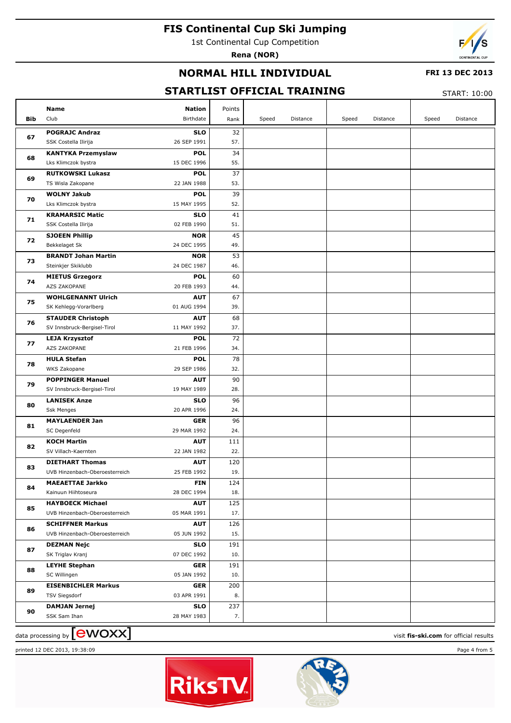1st Continental Cup Competition

**Rena (NOR)**



## **NORMAL HILL INDIVIDUAL**

### **FRI 13 DEC 2013**

# **STARTLIST OFFICIAL TRAINING**

START: 10:00

|     | <b>Name</b>                                                  | <b>Nation</b> | Points           |       |          |       |          |       |          |
|-----|--------------------------------------------------------------|---------------|------------------|-------|----------|-------|----------|-------|----------|
| Bib | Club                                                         | Birthdate     | Rank             | Speed | Distance | Speed | Distance | Speed | Distance |
| 67  | <b>POGRAJC Andraz</b><br>26 SEP 1991<br>SSK Costella Ilirija | <b>SLO</b>    | 32<br>57.        |       |          |       |          |       |          |
|     | <b>KANTYKA Przemyslaw</b>                                    | <b>POL</b>    | 34               |       |          |       |          |       |          |
| 68  | Lks Klimczok bystra<br>15 DEC 1996                           |               | 55.              |       |          |       |          |       |          |
|     | <b>RUTKOWSKI Lukasz</b>                                      | <b>POL</b>    | 37               |       |          |       |          |       |          |
| 69  | TS Wisla Zakopane<br>22 JAN 1988                             |               | 53.              |       |          |       |          |       |          |
|     |                                                              |               | 39               |       |          |       |          |       |          |
| 70  | <b>WOLNY Jakub</b>                                           | <b>POL</b>    |                  |       |          |       |          |       |          |
|     | 15 MAY 1995<br>Lks Klimczok bystra                           |               | 52.              |       |          |       |          |       |          |
| 71  | <b>KRAMARSIC Matic</b><br>02 FEB 1990                        | <b>SLO</b>    | 41<br>51.        |       |          |       |          |       |          |
|     | SSK Costella Ilirija                                         |               |                  |       |          |       |          |       |          |
| 72  | <b>SJOEEN Phillip</b>                                        | <b>NOR</b>    | 45               |       |          |       |          |       |          |
|     | Bekkelaget Sk<br>24 DEC 1995                                 |               | 49.              |       |          |       |          |       |          |
| 73  | <b>BRANDT Johan Martin</b>                                   | <b>NOR</b>    | 53               |       |          |       |          |       |          |
|     | Steinkjer Skiklubb<br>24 DEC 1987                            |               | 46.              |       |          |       |          |       |          |
| 74  | <b>MIETUS Grzegorz</b>                                       | <b>POL</b>    | 60               |       |          |       |          |       |          |
|     | AZS ZAKOPANE<br>20 FEB 1993                                  |               | 44.              |       |          |       |          |       |          |
| 75  | <b>WOHLGENANNT Ulrich</b>                                    | <b>AUT</b>    | 67               |       |          |       |          |       |          |
|     | SK Kehlegg-Vorarlberg<br>01 AUG 1994                         |               | 39.              |       |          |       |          |       |          |
| 76  | <b>STAUDER Christoph</b>                                     | <b>AUT</b>    | 68               |       |          |       |          |       |          |
|     | SV Innsbruck-Bergisel-Tirol<br>11 MAY 1992                   |               | 37.              |       |          |       |          |       |          |
| 77  | <b>LEJA Krzysztof</b>                                        | <b>POL</b>    | 72               |       |          |       |          |       |          |
|     | AZS ZAKOPANE<br>21 FEB 1996                                  |               | 34.              |       |          |       |          |       |          |
| 78  | <b>HULA Stefan</b>                                           | <b>POL</b>    | 78               |       |          |       |          |       |          |
|     | WKS Zakopane<br>29 SEP 1986                                  |               | 32.              |       |          |       |          |       |          |
| 79  | <b>POPPINGER Manuel</b>                                      | <b>AUT</b>    | 90               |       |          |       |          |       |          |
|     | SV Innsbruck-Bergisel-Tirol<br>19 MAY 1989                   |               | 28.              |       |          |       |          |       |          |
| 80  | <b>LANISEK Anze</b>                                          | <b>SLO</b>    | 96               |       |          |       |          |       |          |
|     | Ssk Menges<br>20 APR 1996                                    |               | 24.              |       |          |       |          |       |          |
| 81  | <b>MAYLAENDER Jan</b>                                        | <b>GER</b>    | 96               |       |          |       |          |       |          |
|     | SC Degenfeld<br>29 MAR 1992                                  |               | 24.              |       |          |       |          |       |          |
| 82  | <b>KOCH Martin</b>                                           | <b>AUT</b>    | 111              |       |          |       |          |       |          |
|     | SV Villach-Kaernten<br>22 JAN 1982                           |               | 22.              |       |          |       |          |       |          |
| 83  | <b>DIETHART Thomas</b>                                       | <b>AUT</b>    | 120              |       |          |       |          |       |          |
|     | UVB Hinzenbach-Oberoesterreich<br>25 FEB 1992                |               | 19.              |       |          |       |          |       |          |
| 84  | <b>MAEAETTAE Jarkko</b>                                      | <b>FIN</b>    | $\overline{124}$ |       |          |       |          |       |          |
|     | Kainuun Hiihtoseura<br>28 DEC 1994                           |               | 18.              |       |          |       |          |       |          |
| 85  | <b>HAYBOECK Michael</b>                                      | <b>AUT</b>    | 125              |       |          |       |          |       |          |
|     | UVB Hinzenbach-Oberoesterreich<br>05 MAR 1991                |               | 17.              |       |          |       |          |       |          |
| 86  | <b>SCHIFFNER Markus</b>                                      | <b>AUT</b>    | 126              |       |          |       |          |       |          |
|     | UVB Hinzenbach-Oberoesterreich<br>05 JUN 1992                |               | 15.              |       |          |       |          |       |          |
| 87  | <b>DEZMAN Nejc</b>                                           | <b>SLO</b>    | 191              |       |          |       |          |       |          |
|     | 07 DEC 1992<br>SK Triglav Kranj                              |               | 10.              |       |          |       |          |       |          |
| 88  | <b>LEYHE Stephan</b>                                         | <b>GER</b>    | 191              |       |          |       |          |       |          |
|     | 05 JAN 1992<br>SC Willingen                                  |               | 10.              |       |          |       |          |       |          |
| 89  | <b>EISENBICHLER Markus</b>                                   | <b>GER</b>    | 200              |       |          |       |          |       |          |
|     | 03 APR 1991<br><b>TSV Siegsdorf</b>                          |               | 8.               |       |          |       |          |       |          |
| 90  | <b>DAMJAN Jernej</b>                                         | <b>SLO</b>    | 237              |       |          |       |          |       |          |
|     | SSK Sam Ihan<br>28 MAY 1983                                  |               | 7.               |       |          |       |          |       |          |

data processing by **CWOXX** and  $\overline{C}$  and  $\overline{C}$  and  $\overline{C}$  and  $\overline{C}$  and  $\overline{C}$  and  $\overline{C}$  and  $\overline{C}$  and  $\overline{C}$  and  $\overline{C}$  and  $\overline{C}$  and  $\overline{C}$  and  $\overline{C}$  and  $\overline{C}$  and  $\overline{C}$  and  $\overline{C}$